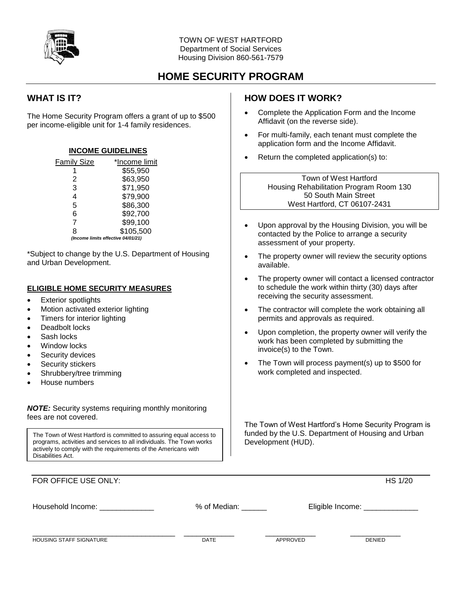

# **HOME SECURITY PROGRAM**

## **WHAT IS IT?**

The Home Security Program offers a grant of up to \$500 per income-eligible unit for 1-4 family residences.

### **INCOME GUIDELINES**

| <b>Family Size</b> | *Income limit                      |  |  |
|--------------------|------------------------------------|--|--|
|                    | \$55,950                           |  |  |
| 2                  | \$63,950                           |  |  |
| 3                  | \$71,950                           |  |  |
| 4                  | \$79,900                           |  |  |
| 5                  | \$86,300                           |  |  |
| 6                  | \$92,700                           |  |  |
| 7                  | \$99,100                           |  |  |
| 8                  | \$105,500                          |  |  |
|                    | (Income limits effective 04/01/21) |  |  |

\*Subject to change by the U.S. Department of Housing and Urban Development.

#### **ELIGIBLE HOME SECURITY MEASURES**

- Exterior spotlights
- Motion activated exterior lighting
- Timers for interior lighting
- Deadbolt locks
- Sash locks
- Window locks
- Security devices
- Security stickers
- Shrubbery/tree trimming
- House numbers

*NOTE:* Security systems requiring monthly monitoring fees are not covered.

The Town of West Hartford is committed to assuring equal access to programs, activities and services to all individuals. The Town works actively to comply with the requirements of the Americans with Disabilities Act.

## **HOW DOES IT WORK?**

- Complete the Application Form and the Income Affidavit (on the reverse side).
- For multi-family, each tenant must complete the application form and the Income Affidavit.
- Return the completed application(s) to:

Town of West Hartford Housing Rehabilitation Program Room 130 50 South Main Street West Hartford, CT 06107-2431

- Upon approval by the Housing Division, you will be contacted by the Police to arrange a security assessment of your property.
- The property owner will review the security options available.
- The property owner will contact a licensed contractor to schedule the work within thirty (30) days after receiving the security assessment.
- The contractor will complete the work obtaining all permits and approvals as required.
- Upon completion, the property owner will verify the work has been completed by submitting the invoice(s) to the Town.
- The Town will process payment(s) up to \$500 for work completed and inspected.

The Town of West Hartford's Home Security Program is funded by the U.S. Department of Housing and Urban Development (HUD).

| FOR OFFICE USE ONLY:           |              |                    | <b>HS 1/20</b> |
|--------------------------------|--------------|--------------------|----------------|
| Household Income:              | % of Median: | Eligible Income: _ |                |
| <b>HOUSING STAFF SIGNATURE</b> | <b>DATE</b>  | APPROVED           | <b>DENIED</b>  |